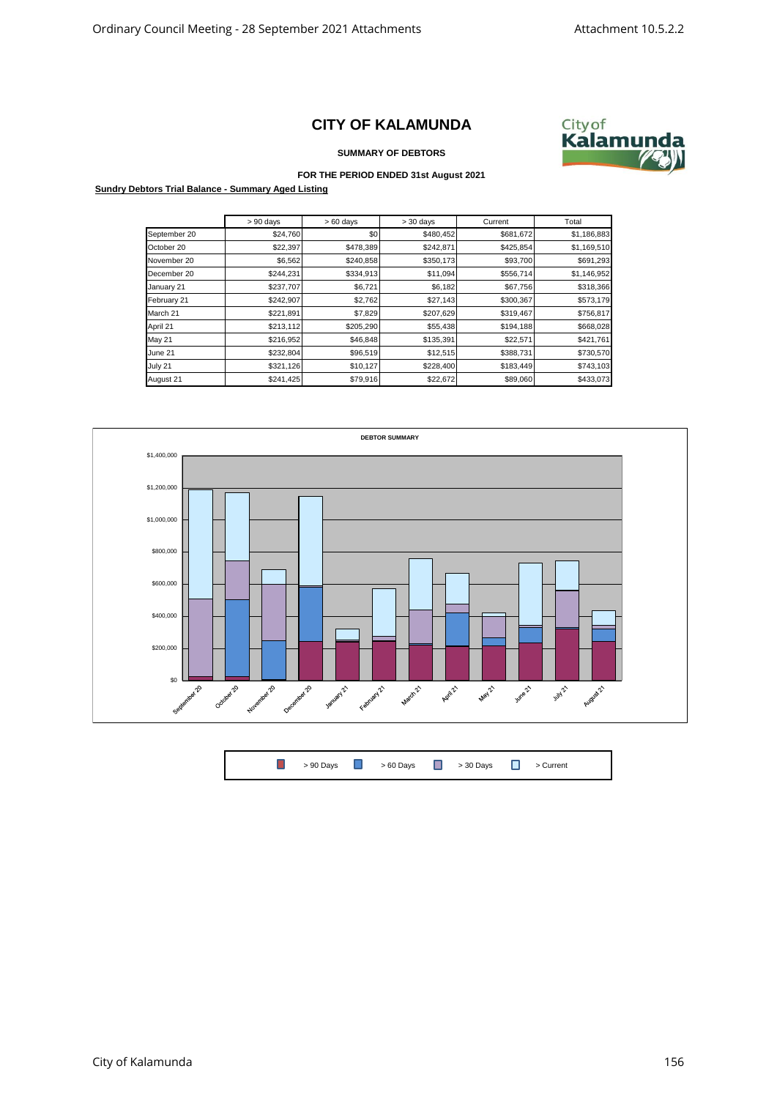## **CITY OF KALAMUNDA**



**SUMMARY OF DEBTORS**

## **FOR THE PERIOD ENDED 31st August 2021**

**Sundry Debtors Trial Balance - Summary Aged Listing**

|              | $> 90$ days | $>60$ days | $> 30$ days | Current   | Total       |
|--------------|-------------|------------|-------------|-----------|-------------|
| September 20 | \$24,760    | \$0        | \$480,452   | \$681,672 | \$1,186,883 |
| October 20   | \$22,397    | \$478,389  | \$242,871   | \$425,854 | \$1,169,510 |
| November 20  | \$6,562     | \$240,858  | \$350,173   | \$93,700  | \$691,293   |
| December 20  | \$244,231   | \$334,913  | \$11,094    | \$556,714 | \$1,146,952 |
| January 21   | \$237,707   | \$6,721    | \$6,182     | \$67,756  | \$318,366   |
| February 21  | \$242,907   | \$2,762    | \$27,143    | \$300,367 | \$573,179   |
| March 21     | \$221,891   | \$7,829    | \$207,629   | \$319,467 | \$756,817   |
| April 21     | \$213,112   | \$205,290  | \$55,438    | \$194,188 | \$668,028   |
| May 21       | \$216,952   | \$46,848   | \$135,391   | \$22,571  | \$421,761   |
| June 21      | \$232,804   | \$96,519   | \$12,515    | \$388,731 | \$730,570   |
| July 21      | \$321,126   | \$10,127   | \$228,400   | \$183,449 | \$743,103   |
| August 21    | \$241,425   | \$79,916   | \$22,672    | \$89,060  | \$433,073   |



| <b>1</b> > 90 Days <b>1</b> > 60 Days <b>1</b> > 30 Days <b>1</b> > Current |  |  |  |  |  |  |  |  |  |
|-----------------------------------------------------------------------------|--|--|--|--|--|--|--|--|--|
|-----------------------------------------------------------------------------|--|--|--|--|--|--|--|--|--|